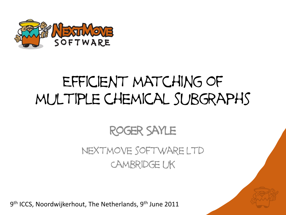

## Efficient matching of multiple chemical subgraphs

#### Roger Sayle Nextmove software ltd Cambridge uk

9<sup>th</sup> ICCS, Noordwijkerhout, The Netherlands, 9<sup>th</sup> June 2011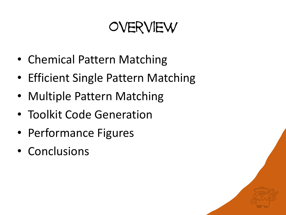## overview

- Chemical Pattern Matching
- Efficient Single Pattern Matching
- Multiple Pattern Matching
- Toolkit Code Generation
- Performance Figures
- Conclusions

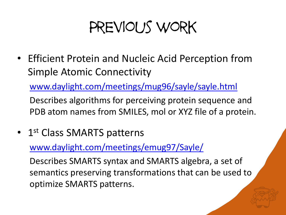## Previous work

• Efficient Protein and Nucleic Acid Perception from Simple Atomic Connectivity

[www.daylight.com/meetings/mug96/sayle/sayle.html](http://www.daylight.com/meetings/mug96/sayle/sayle.html)

Describes algorithms for perceiving protein sequence and PDB atom names from SMILES, mol or XYZ file of a protein.

• 1<sup>st</sup> Class SMARTS patterns

[www.daylight.com/meetings/emug97/Sayle/](http://www.daylight.com/meetings/emug97/Sayle/)

Describes SMARTS syntax and SMARTS algebra, a set of semantics preserving transformations that can be used to optimize SMARTS patterns.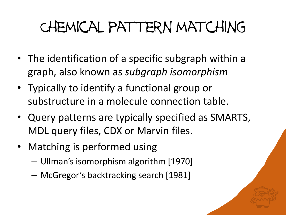# Chemical pattern matching

- The identification of a specific subgraph within a graph, also known as *subgraph isomorphism*
- Typically to identify a functional group or substructure in a molecule connection table.
- Query patterns are typically specified as SMARTS, MDL query files, CDX or Marvin files.
- Matching is performed using
	- $-$  Ullman's isomorphism algorithm  $[1970]$
	- $-$  McGregor's backtracking search  $[1981]$

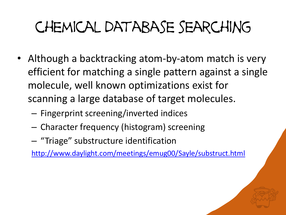# chemical database searching

- Although a backtracking atom-by-atom match is very efficient for matching a single pattern against a single molecule, well known optimizations exist for scanning a large database of target molecules.
	- Fingerprint screening/inverted indices
	- Character frequency (histogram) screening
	- "Triage" substructure identification

<http://www.daylight.com/meetings/emug00/Sayle/substruct.html>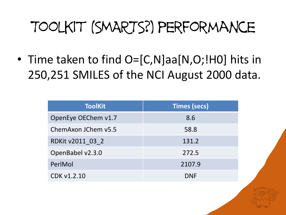## Toolkit (SMARTS?) performance

• Time taken to find O=[C,N]aa[N,O;!H0] hits in 250,251 SMILES of the NCI August 2000 data.

| <b>ToolKit</b>      | <b>Times (secs)</b> |
|---------------------|---------------------|
| OpenEye OEChem v1.7 | 8.6                 |
| ChemAxon JChem v5.5 | 58.8                |
| RDKit v2011 03 2    | 131.2               |
| OpenBabel v2.3.0    | 272.5               |
| PerlMol             | 2107.9              |
| CDK v1.2.10         | <b>DNF</b>          |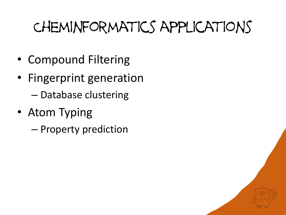## Cheminformatics applications

- Compound Filtering
- Fingerprint generation – Database clustering
- Atom Typing
	- Property prediction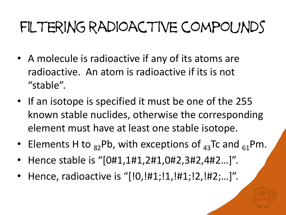## filtering radioactive compounds

- A molecule is radioactive if any of its atoms are radioactive. An atom is radioactive if its is not "stable".
- If an isotope is specified it must be one of the 255 known stable nuclides, otherwise the corresponding element must have at least one stable isotope.
- Elements H to  $_{82}$ Pb, with exceptions of  $_{43}$ Tc and  $_{61}$ Pm.
- Hence stable is "[0#1,1#1,2#1,0#2,3#2,4#2...]".
- Hence, radioactive is "[!0,!#1;!1,!#1;!2,!#2;...]".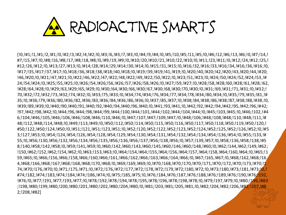

[!0,!#1;!1,!#1;!2,!#1;!0,!#2;!3,!#2;!4,!#2;!0,!#3;!6,!#3;!7,!#3;!0,!#4;!9,!#4;!0,!#5;!10,!#5;!11,!#5;!0,!#6;!12,!#6;!13,!#6;!0,!#7;!14,! #7;!15,!#7;!0,!#8;!16,!#8;!17,!#8;!18,!#8;!0,!#9;!19,!#9;!0,!#10;!20,!#10;!21,!#10;!22,!#10;!0,!#11;!23,!#11;!0,!#12;!24,!#12;!25,! #12;!26,!#12;!0,!#13;!27,!#13;!0,!#14;!28,!#14;!29,!#14;!30,!#14;!0,!#15;!31,!#15;!0,!#16;!32,!#16;!33,!#16;!34,!#16;!36,!#16;!0, !#17;!35,!#17;!37,!#17;!0,!#18;!36,!#18;!38,!#18;!40,!#18;!0,!#19;!39,!#19;!41,!#19;!0,!#20;!40,!#20;!42,!#20;!43,!#20;!44,!#20; !46,!#20;!0,!#21;!47,!#21;!0,!#22;!46,!#22;!47,!#22;!48,!#22;!49,!#22;!50,!#22;!0,!#23;!51,!#23;!0,!#24;!50,!#24;!52,!#24;!53,!# 24;!54,!#24;!0,!#25;!55,!#25;!0,!#26;!54,!#26;!56,!#26;!57,!#26;!58,!#26;!0,!#27;!59,!#27;!0,!#28;!58,!#28;!60,!#28;!61,!#28;!62, !#28;!64,!#28;!0,!#29;!63,!#29;!65,!#29;!0,!#30;!64,!#30;!66,!#30;!67,!#30;!68,!#30;!70,!#30;!0,!#31;!69,!#31;!71,!#31;!0,!#32;! 70,!#32;!72,!#32;!73,!#32;!74,!#32;!0,!#33;!75,!#33;!0,!#34;!74,!#34;!76,!#34;!77,!#34;!78,!#34;!80,!#34;!0,!#35;!79,!#35;!81,!# 35;!0,!#36;!79,!#36;!80,!#36;!82,!#36;!83,!#36;!84,!#36;!86,!#36;!0,!#37;!85,!#37;!0,!#38;!84,!#38;!86,!#38;!87,!#38;!88,!#38;!0, !#39;!89,!#39;!0,!#40;!90,!#40;!91,!#40;!92,!#40;!94,!#40;!96,!#40;!0,!#41;!93,!#41;!0,!#42;!92,!#42;!94,!#42;!95,!#42;!96,!#42; !97,!#42;!98,!#42;!0,!#44;!96,!#44;!98,!#44;!99,!#44;!100,!#44;!101,!#44;!102,!#44;!104,!#44;!0,!#45;!103,!#45;!0,!#46;!102,!#4 6;!104,!#46;!105,!#46;!106,!#46;!108,!#46;!110,!#46;!0,!#47;!107,!#47;!109,!#47;!0,!#48;!106,!#48;!108,!#48;!110,!#48;!111,!# 48;!112,!#48;!114,!#48;!0,!#49;!113,!#49;!0,!#50;!112,!#50;!114,!#50;!115,!#50;!116,!#50;!117,!#50;!118,!#50;!119,!#50;!120,! #50;!122,!#50;!124,!#50;!0,!#51;!121,!#51;!123,!#51;!0,!#52;!120,!#52;!122,!#52;!123,!#52;!124,!#52;!125,!#52;!126,!#52;!0,!#5 3;!127,!#53;!0,!#54;!124,!#54;!126,!#54;!128,!#54;!129,!#54;!130,!#54;!131,!#54;!132,!#54;!134,!#54;!136,!#54;!0,!#55;!133,!# 55;!0,!#56;!130,!#56;!132,!#56;!134,!#56;!135,!#56;!136,!#56;!137,!#56;!138,!#56;!0,!#57;!139,!#57;!0,!#58;!136,!#58;!138,!#5 8;!140,!#58;!142,!#58;!0,!#59;!141,!#59;!0,!#60;!142,!#60;!143,!#60;!145,!#60;!146,!#60;!0,!#60;!0,!#62;!144,!#62;!149,!#62; !150,!#62;!152,!#62;!154,!#62;!0,!#63;!153,!#63;!0,!#64;!154,!#64;!155,!#64;!156,!#64;!157,!#64;!158,!#64;!160,!#64;!0,!#65;!1 59,!#65;!0,!#66;!156,!#66;!158,!#66;!160,!#66;!161,!#66;!162,!#66;!163,!#66;!164,!#66;!0,!#67;!165,!#67;!0,!#68;!162,!#68;!16 4,!#68;!166,!#68;!167,!#68;!168,!#68;!170,!#68;!0,!#69;!169,!#69;!0,!#70;!168,!#70;!170,!#70;!171,!#70;!172,!#70;!173,!#70;!1 74,!#70;!176,!#70;!0,!#71;!175,!#71;!0,!#72;!176,!#72;!177,!#72;!178,!#72;!179,!#72;!180,!#72;!0,!#73;!180,!#73;!181,!#73;<mark>!0,!</mark> #74;!182,!#74;!183,!#74;!184,!#74;!186,!#74;!0,!#75;!185,!#75;!0,!#76;!184,!#76;!187,!#76;!188,!#76;!189,!#76;!190,!#76;!192, !#76;!0,!#77;!191,!#77;!193,!#77;!0,!#78;!192,!#78;!194,!#78;!195,!#78;!196,!#78;!198,!#78;!0,!#79;!197,!#79;!0,!#80;!196,!#80 ;!198,!#80;!199,!#80;!200,!#80;!201,!#80;!202,!#80;!204,!#80;!0,!#81;!203,!#81;!205,!#81;!0,!#82;!204,!#82;!206,!#82;!207,!#8 2;!208,!#82]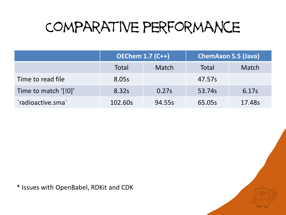## Comparative performance

|                      | <b>OEChem 1.7 (C++)</b> |              | <b>ChemAxon 5.5 (Java)</b> |        |
|----------------------|-------------------------|--------------|----------------------------|--------|
|                      | Total                   | <b>Match</b> | Total                      | Match  |
| Time to read file    | 8.05s                   |              | 47.57s                     |        |
| Time to match '[!0]' | 8.32s                   | 0.27s        | 53.74s                     | 6.17s  |
| `radioactive.sma`    | 102.60s                 | 94.55s       | 65.05s                     | 17.48s |

\* Issues with OpenBabel, RDKit and CDK

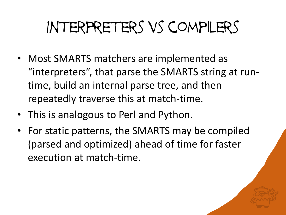# Interpreters vs compilers

- Most SMARTS matchers are implemented as "interpreters", that parse the SMARTS string at runtime, build an internal parse tree, and then repeatedly traverse this at match-time.
- This is analogous to Perl and Python.
- For static patterns, the SMARTS may be compiled (parsed and optimized) ahead of time for faster execution at match-time.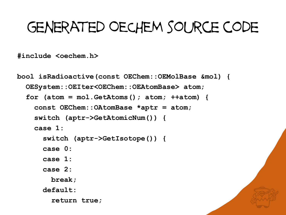## generated OECHEM source code

**#include <oechem.h>**

```
bool isRadioactive(const OEChem::OEMolBase &mol) {
OESystem::OEIter<OEChem::OEAtomBase> atom;
for (atom = mol.GetAtoms(); atom; ++atom) {
   const OEChem::OAtomBase *aptr = atom;
   switch (aptr->GetAtomicNum()) {
   case 1:
     switch (aptr->GetIsotope()) {
     case 0:
     case 1:
     case 2:
       break;
     default:
       return true;
```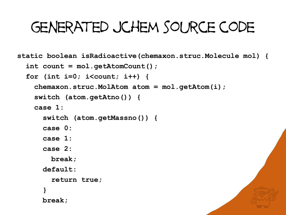## generated jchem source code

**static boolean isRadioactive(chemaxon.struc.Molecule mol) { int count = mol.getAtomCount(); for (int i=0; i<count; i++) { chemaxon.struc.MolAtom atom = mol.getAtom(i); switch (atom.getAtno()) { case 1: switch (atom.getMassno()) { case 0: case 1: case 2: break; default: return true; } break;**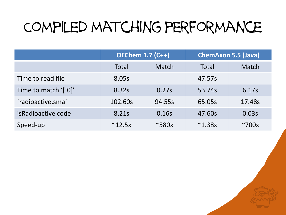## Compiled matching performance

|                      | <b>OEChem 1.7 (C++)</b> |                      | <b>ChemAxon 5.5 (Java)</b> |                      |
|----------------------|-------------------------|----------------------|----------------------------|----------------------|
|                      | <b>Total</b>            | Match                | <b>Total</b>               | Match                |
| Time to read file    | 8.05s                   |                      | 47.57s                     |                      |
| Time to match '[!0]' | 8.32s                   | 0.27s                | 53.74s                     | 6.17s                |
| `radioactive.sma`    | 102.60s                 | 94.55s               | 65.05s                     | 17.48s               |
| is Radioactive code  | 8.21s                   | 0.16s                | 47.60s                     | 0.03s                |
| Speed-up             | $^{\sim}$ 12.5x         | $~\sim$ 580 $\times$ | $^{\sim}$ 1.38x            | $~\sim$ 700 $\times$ |

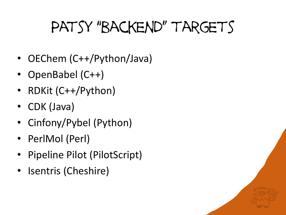# Patsy "backend" targets

- OEChem (C++/Python/Java)
- OpenBabel (C++)
- RDKit (C++/Python)
- CDK (Java)
- Cinfony/Pybel (Python)
- PerlMol (Perl)
- Pipeline Pilot (PilotScript)
- Isentris (Cheshire)

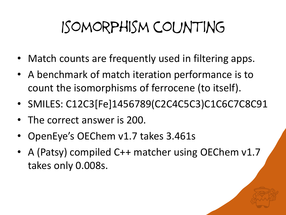# Isomorphism counting

- Match counts are frequently used in filtering apps.
- A benchmark of match iteration performance is to count the isomorphisms of ferrocene (to itself).
- SMILES: C12C3[Fe]1456789(C2C4C5C3)C1C6C7C8C91
- The correct answer is 200.
- OpenEye's OEChem v1.7 takes 3.461s
- A (Patsy) compiled C++ matcher using OEChem v1.7 takes only 0.008s.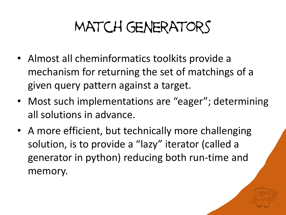# Match generators

- Almost all cheminformatics toolkits provide a mechanism for returning the set of matchings of a given query pattern against a target.
- Most such implementations are "eager"; determining all solutions in advance.
- A more efficient, but technically more challenging solution, is to provide a "lazy" iterator (called a generator in python) reducing both run-time and memory.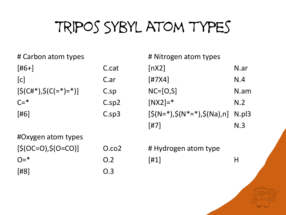# Tripos Sybyl atom types

# Carbon atom types

| [#6+]                                           | C.cat           |
|-------------------------------------------------|-----------------|
| c                                               | C.ar            |
| $\lceil \zeta(C#^*) , \zeta(C(=^*) =^*) \rceil$ | $C.\mathsf{sp}$ |
| $C = *$                                         | $C.\text{sp2}$  |
| [#6]                                            | $C.\text{sp3}$  |
|                                                 |                 |

#Oxygen atom types  $[$(OC=O), $(O=CO)]$   $O.co2$  $O=$ \* 0.2 [#8] O.3

# Nitrogen atom types  $[nX2]$  N.ar [#7X4] N.4 NC=[O,S] N.am  $[NX2] = *$  N.2  $[\$(N=*)$ , $\$(N^*=*)$ , $\$(Na)$ ,n] N.pl3 [#7] N.3

# Hydrogen atom type  $[H1]$  H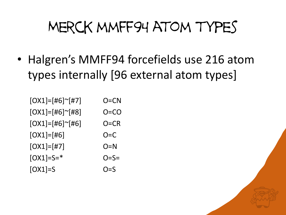## Merck mmff94 atom types

• Halgren's MMFF94 forcefields use 216 atom types internally [96 external atom types]

| $[OX1]=[H6]^\sim[H7]$ | O=CN    |
|-----------------------|---------|
| $[OX1]=[H6]^\sim[H8]$ | O=CO    |
| $[OX1]=[H6]^\sim[H6]$ | O=CR    |
| $[OX1] = [#6]$        | $O=C$   |
| $[OX1]=[#7]$          | O=N     |
| $[OX1] = S = *$       | $O=$ S= |
| $[OX1]=S$             | O=S     |

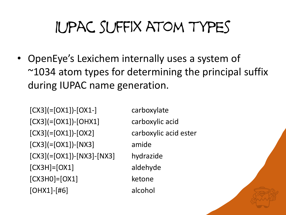# Iupac suffix atom types

• OpenEye's Lexichem internally uses a system of  $\sim$ 1034 atom types for determining the principal suffix during IUPAC name generation.

 $[CX3] (= [OX1]) - [OX1-]$  carboxylate [CX3](=[OX1])-[OHX1] carboxylic acid [CX3](=[OX1])-[OX2] carboxylic acid ester [CX3](=[OX1])-[NX3] amide [CX3](=[OX1])-[NX3]-[NX3] hydrazide [CX3H]=[OX1] aldehyde [CX3H0]=[OX1] ketone [OHX1]-[#6] alcohol

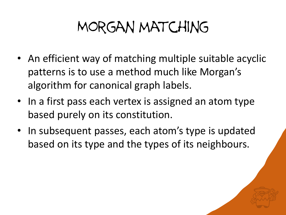## Morgan matching

- An efficient way of matching multiple suitable acyclic patterns is to use a method much like Morgan's algorithm for canonical graph labels.
- In a first pass each vertex is assigned an atom type based purely on its constitution.
- In subsequent passes, each atom's type is updated based on its type and the types of its neighbours.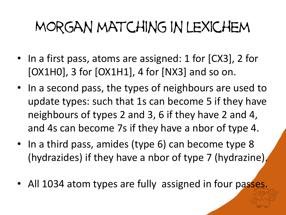## Morgan matching in lexichem

- In a first pass, atoms are assigned: 1 for [CX3], 2 for  $[OX1H0]$ , 3 for  $[OX1H1]$ , 4 for  $[NX3]$  and so on.
- In a second pass, the types of neighbours are used to update types: such that 1s can become 5 if they have neighbours of types 2 and 3, 6 if they have 2 and 4, and 4s can become 7s if they have a nbor of type 4.
- In a third pass, amides (type 6) can become type 8 (hydrazides) if they have a nbor of type 7 (hydrazine).
- All 1034 atom types are fully assigned in four passes.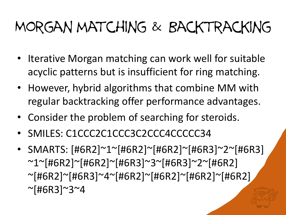# Morgan matching & Backtracking

- Iterative Morgan matching can work well for suitable acyclic patterns but is insufficient for ring matching.
- However, hybrid algorithms that combine MM with regular backtracking offer performance advantages.
- Consider the problem of searching for steroids.
- SMILES: C1CCC2C1CCC3C2CCC4CCCCC34
- SMARTS: [#6R2]~1~[#6R2]~[#6R2]~[#6R3]~2~[#6R3] ~1~[#6R2]~[#6R2]~[#6R3]~3~[#6R3]~2~[#6R2] ~[#6R2]~[#6R3]~4~[#6R2]~[#6R2]~[#6R2]~[#6R2] ~[#6R3]~3~4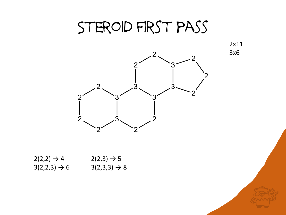#### STEROID FIRST PASS

2x11 3x6



 $2(2,2) \rightarrow 4$   $2(2,3) \rightarrow 5$  $3(2,2,3) \rightarrow 6$   $3(2,3,3) \rightarrow 8$ 

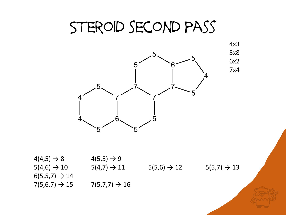### Steroid second pass

4x3



 $4(4,5) \rightarrow 8$   $4(5,5) \rightarrow 9$  $5(4,6) \rightarrow 10$   $5(4,7) \rightarrow 11$   $5(5,6) \rightarrow 12$   $5(5,7) \rightarrow 13$  $6(5,5,7) \to 14$  $7(5,6,7) \rightarrow 15$   $7(5,7,7) \rightarrow 16$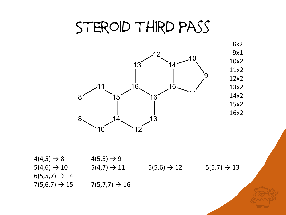#### Steroid third pass



 $4(4,5) \rightarrow 8$   $4(5,5) \rightarrow 9$  $5(4,6) \rightarrow 10$   $5(4,7) \rightarrow 11$   $5(5,6) \rightarrow 12$   $5(5,7) \rightarrow 13$  $6(5,5,7) \to 14$  $7(5,6,7) \rightarrow 15$   $7(5,7,7) \rightarrow 16$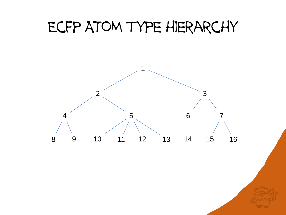#### Ecfp ATOM type hierarchy

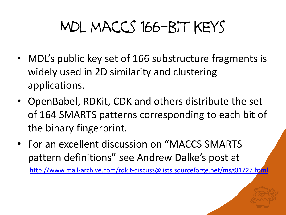# Mdl maccs 166-bit keys

- MDL's public key set of 166 substructure fragments is widely used in 2D similarity and clustering applications.
- OpenBabel, RDKit, CDK and others distribute the set of 164 SMARTS patterns corresponding to each bit of the binary fingerprint.
- For an excellent discussion on "MACCS SMARTS pattern definitions" see Andrew Dalke's post at

<http://www.mail-archive.com/rdkit-discuss@lists.sourceforge.net/msg01727.html>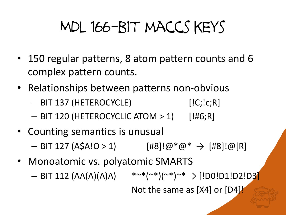# Mdl 166-bit maccs keys

- 150 regular patterns, 8 atom pattern counts and 6 complex pattern counts.
- Relationships between patterns non-obvious
	- BIT 137 (HETEROCYCLE) [IC;Ic;R]
	- $-$  BIT 120 (HETEROCYCLIC ATOM  $> 1$ ) [!#6;R]
- Counting semantics is unusual
	- $-$  BIT 127 (A\$A!O > 1)  $[#8]$ !@\*@\*  $\rightarrow$   $[#8]$ !@[R]
- Monoatomic vs. polyatomic SMARTS  $-$  BIT 112 (AA(A)(A)A)  $* \sim^* (\sim^*) (\sim^*) \sim^* \rightarrow$  [!D0!D1!D2!D3] Not the same as [X4] or [D4]!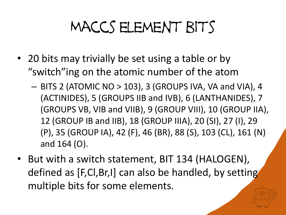# Maccs element bits

- 20 bits may trivially be set using a table or by "switch"ing on the atomic number of the atom
	- BITS 2 (ATOMIC NO > 103), 3 (GROUPS IVA, VA and VIA), 4 (ACTINIDES), 5 (GROUPS IIB and IVB), 6 (LANTHANIDES), 7 (GROUPS VB, VIB and VIIB), 9 (GROUP VIII), 10 (GROUP IIA), 12 (GROUP IB and IIB), 18 (GROUP IIIA), 20 (SI), 27 (I), 29 (P), 35 (GROUP IA), 42 (F), 46 (BR), 88 (S), 103 (CL), 161 (N) and 164 (O).
- But with a switch statement, BIT 134 (HALOGEN), defined as [F,Cl,Br,I] can also be handled, by setting multiple bits for some elements.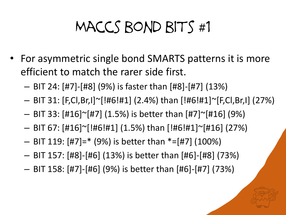# Maccs bond bits #1

- For asymmetric single bond SMARTS patterns it is more efficient to match the rarer side first.
	- BIT 24: [#7]-[#8] (9%) is faster than [#8]-[#7] (13%)
	- BIT 31: [F,Cl,Br,I]~[!#6!#1] (2.4%) than [!#6!#1]~[F,Cl,Br,I] (27%)
	- $-$  BIT 33: [#16] $\sim$ [#7] (1.5%) is better than [#7] $\sim$ [#16] (9%)
	- BIT 67: [#16]~[!#6!#1] (1.5%) than [!#6!#1]~[#16] (27%)
	- $-$  BIT 119:  $[#7] = * (9%)$  is better than  $*=[#7]$  (100%)
	- BIT 157: [#8]-[#6] (13%) is better than [#6]-[#8] (73%)
	- BIT 158: [#7]-[#6] (9%) is better than [#6]-[#7] (73%)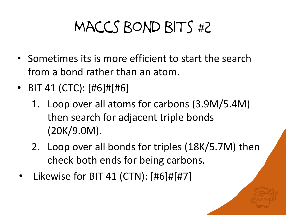# Maccs bond bits #2

- Sometimes its is more efficient to start the search from a bond rather than an atom.
- BIT 41 (CTC): [#6]#[#6]
	- 1. Loop over all atoms for carbons (3.9M/5.4M) then search for adjacent triple bonds (20K/9.0M).
	- 2. Loop over all bonds for triples (18K/5.7M) then check both ends for being carbons.
- Likewise for BIT 41 (CTN): [#6]#[#7]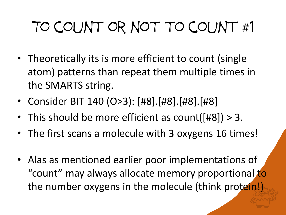# To count or not to count #1

- Theoretically its is more efficient to count (single atom) patterns than repeat them multiple times in the SMARTS string.
- Consider BIT 140 (O>3): [#8].[#8].[#8].[#8]
- This should be more efficient as count([#8]) > 3.
- The first scans a molecule with 3 oxygens 16 times!
- Alas as mentioned earlier poor implementations of "count" may always allocate memory proportional to the number oxygens in the molecule (think protein!)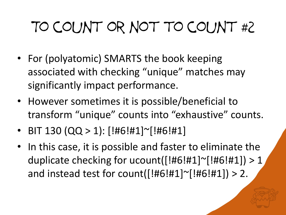# To count or not to count #2

- For (polyatomic) SMARTS the book keeping associated with checking "unique" matches may significantly impact performance.
- However sometimes it is possible/beneficial to transform "unique" counts into "exhaustive" counts.
- BIT 130 (QQ > 1):  $[!#6!#1]$ <sup>~</sup> $[!#6!#1]$
- In this case, it is possible and faster to eliminate the duplicate checking for ucount( $[!#6!#1]$ <sup>~</sup> $[!#6!#1]$ ) > 1 and instead test for count( $[!#6!#1]~$ [!#6!#1]) > 2.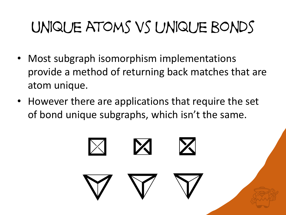# Unique atoms vs unique bonds

- Most subgraph isomorphism implementations provide a method of returning back matches that are atom unique.
- However there are applications that require the set of bond unique subgraphs, which isn't the same.

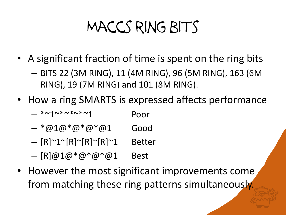# Maccs ring bits

- A significant fraction of time is spent on the ring bits
	- BITS 22 (3M RING), 11 (4M RING), 96 (5M RING), 163 (6M RING), 19 (7M RING) and 101 (8M RING).
- How a ring SMARTS is expressed affects performance
	- $-$  \*~1~\*~\*~\*~1 Poor
	- $*@1@*@*@*@1$  Good
	- [R]~1~[R]~[R]~[R]~1 Better
	- $[R]@1@*@*@*@1$  Best
- However the most significant improvements come from matching these ring patterns simultaneously.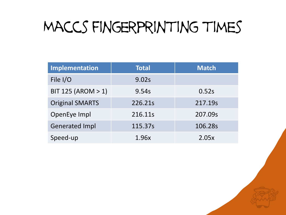## Maccs fingerprinting times

| Implementation         | <b>Total</b> | <b>Match</b> |
|------------------------|--------------|--------------|
| File I/O               | 9.02s        |              |
| BIT 125 (AROM > 1)     | 9.54s        | 0.52s        |
| <b>Original SMARTS</b> | 226.21s      | 217.19s      |
| OpenEye Impl           | 216.11s      | 207.09s      |
| <b>Generated Impl</b>  | 115.37s      | 106.28s      |
| Speed-up               | 1.96x        | 2.05x        |

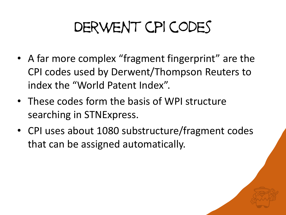# Derwent cpi codes

- A far more complex "fragment fingerprint" are the CPI codes used by Derwent/Thompson Reuters to index the "World Patent Index".
- These codes form the basis of WPI structure searching in STNExpress.
- CPI uses about 1080 substructure/fragment codes that can be assigned automatically.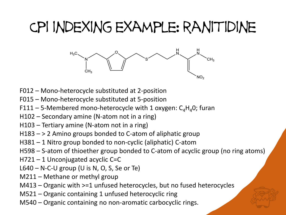## Cpi indexing example: ranitidine



- F012 Mono-heterocycle substituted at 2-position
- F015 Mono-heterocycle substituted at 5-position
- F111 5-Membered mono-heterocycle with 1 oxygen:  $C_4H_4O$ ; furan
- H102 Secondary amine (N-atom not in a ring)
- H103 Tertiary amine (N-atom not in a ring)
- H183 > 2 Amino groups bonded to C-atom of aliphatic group
- H381 1 Nitro group bonded to non-cyclic (aliphatic) C-atom
- H598 S-atom of thioether group bonded to C-atom of acyclic group (no ring atoms)
- H721 1 Unconjugated acyclic C=C
- $L640 N-C-U$  group (U is N, O, S, Se or Te)
- M211 Methane or methyl group
- M413 Organic with >=1 unfused heterocycles, but no fused heterocycles
- M521 Organic containing 1 unfused heterocyclic ring
- M540 Organic containing no non-aromatic carbocyclic rings.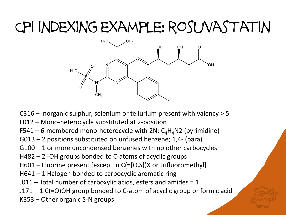## Cpi indexing example: rosuvastatin



- C316 Inorganic sulphur, selenium or tellurium present with valency > 5
- F012 Mono-heterocycle substituted at 2-position
- F541 6-membered mono-heterocycle with 2N;  $C_4H_4N2$  (pyrimidine)
- G013 2 positions substituted on unfused benzene; 1,4- (para)
- G100 1 or more uncondensed benzenes with no other carbocycles
- H482 2 -OH groups bonded to C-atoms of acyclic groups
- H601 Fluorine present [except in C(=[O,S])X or trifluoromethyl]
- H641 1 Halogen bonded to carbocyclic aromatic ring
- $J011$  Total number of carboxylic acids, esters and amides = 1
- J171 1 C(=O)OH group bonded to C-atom of acyclic group or formic acid
- K353 Other organic S-N groups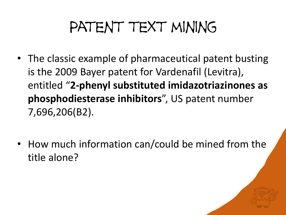# PATENT TEXT MINING

- The classic example of pharmaceutical patent busting is the 2009 Bayer patent for Vardenafil (Levitra), entitled "**2-phenyl substituted imidazotriazinones as phosphodiesterase inhibitors**", US patent number 7,696,206(B2).
- How much information can/could be mined from the title alone?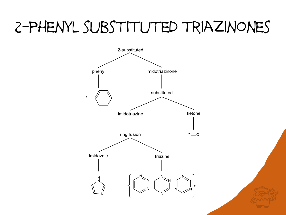## 2-phenyl substituted triazinones



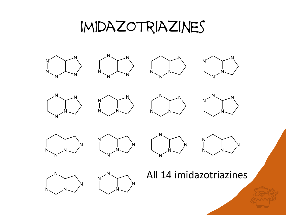### imidazotriazines

























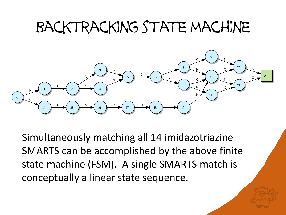## Backtracking state machine



Simultaneously matching all 14 imidazotriazine SMARTS can be accomplished by the above finite state machine (FSM). A single SMARTS match is conceptually a linear state sequence.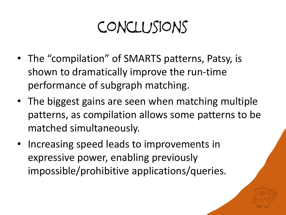## conclusions

- The "compilation" of SMARTS patterns, Patsy, is shown to dramatically improve the run-time performance of subgraph matching.
- The biggest gains are seen when matching multiple patterns, as compilation allows some patterns to be matched simultaneously.
- Increasing speed leads to improvements in expressive power, enabling previously impossible/prohibitive applications/queries.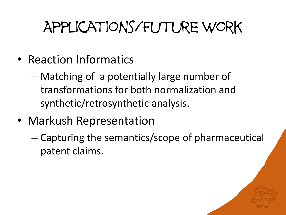# Applications/Future work

- Reaction Informatics
	- Matching of a potentially large number of transformations for both normalization and synthetic/retrosynthetic analysis.
- Markush Representation
	- Capturing the semantics/scope of pharmaceutical patent claims.